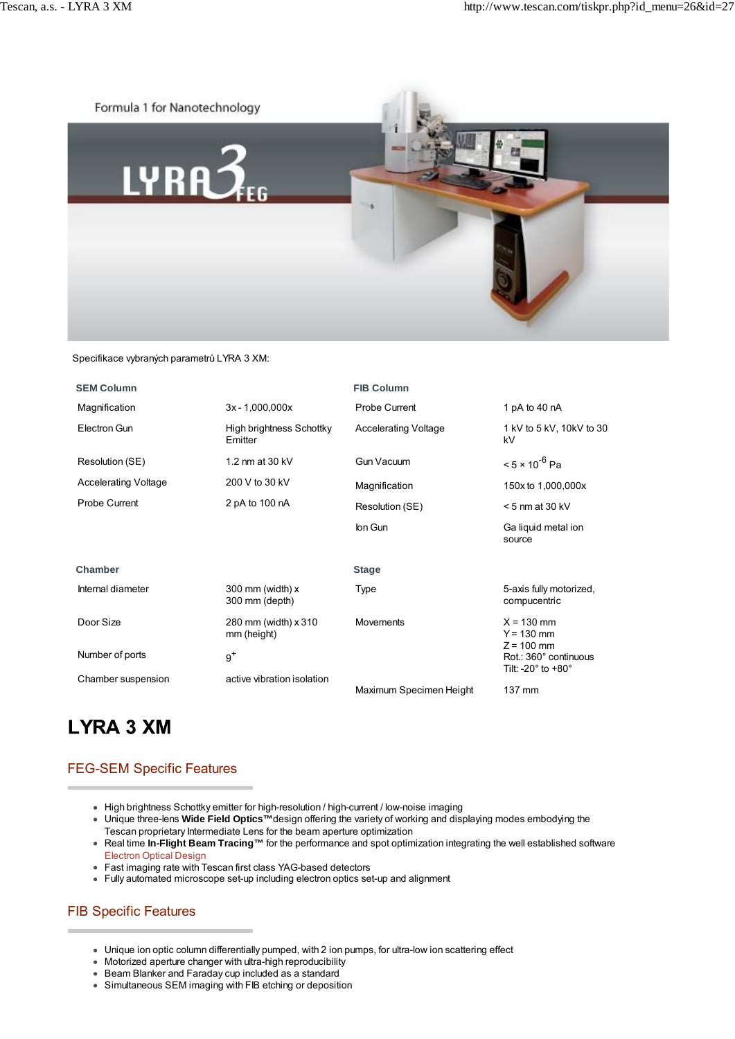

Specifikace vybraných parametrů LYRA 3 XM:

| <b>SEM Column</b>           |                                     | <b>FIB Column</b>           |                                                                                 |
|-----------------------------|-------------------------------------|-----------------------------|---------------------------------------------------------------------------------|
| Magnification               | $3x - 1,000,000x$                   | Probe Current               | 1 pA to 40 nA                                                                   |
| Electron Gun                | High brightness Schottky<br>Emitter | <b>Accelerating Voltage</b> | 1 kV to 5 kV, 10kV to 30<br>kV                                                  |
| Resolution (SE)             | 1.2 nm at 30 kV                     | <b>Gun Vacuum</b>           | $< 5 \times 10^{-6}$ Pa                                                         |
| <b>Accelerating Voltage</b> | 200 V to 30 kV                      | Magnification               | 150x to 1,000,000x                                                              |
| Probe Current               | 2 pA to 100 nA                      | Resolution (SE)             | $<$ 5 nm at 30 kV                                                               |
|                             |                                     | lon Gun                     | Ga liquid metal ion<br>source                                                   |
| Chamber                     |                                     | <b>Stage</b>                |                                                                                 |
| Internal diameter           | 300 mm (width) x<br>300 mm (depth)  | Type                        | 5-axis fully motorized,<br>compucentric                                         |
| Door Size                   | 280 mm (width) x 310<br>mm (height) | <b>Movements</b>            | $X = 130$ mm<br>$Y = 130$ mm                                                    |
| Number of ports             | $9^+$                               |                             | $Z = 100$ mm<br>Rot.: 360° continuous<br>Tilt: -20 $^{\circ}$ to +80 $^{\circ}$ |
| Chamber suspension          | active vibration isolation          | Maximum Specimen Height     | 137 mm                                                                          |

## **LYRA 3 XM**

## FEG-SEM Specific Features

- High brightness Schottky emitter for high-resolution / high-current / low-noise imaging
- Unique three-lens **Wide Field Optics™**design offering the variety of working and displaying modes embodying the Tescan proprietary Intermediate Lens for the beam aperture optimization
- Real time **In-Flight Beam Tracing™** for the performance and spot optimization integrating the well established software Electron Optical Design
- Fast imaging rate with Tescan first class YAG-based detectors
- Fully automated microscope set-up including electron optics set-up and alignment

## FIB Specific Features

- Unique ion optic column differentially pumped, with 2 ion pumps, for ultra-low ion scattering effect
- Motorized aperture changer with ultra-high reproducibility
- Beam Blanker and Faraday cup included as a standard
- Simultaneous SEM imaging with FIB etching or deposition